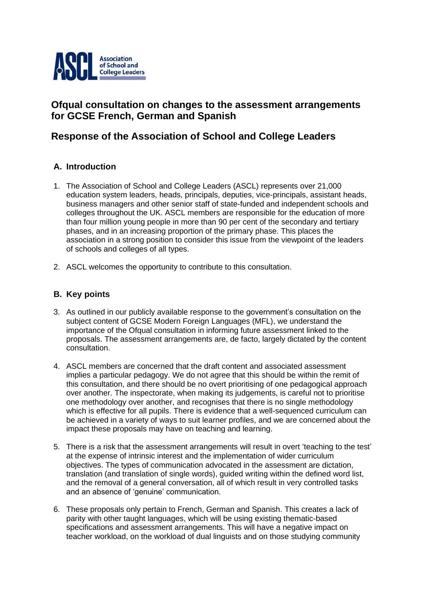

# **Ofqual consultation on changes to the assessment arrangements for GCSE French, German and Spanish**

# **Response of the Association of School and College Leaders**

## **A. Introduction**

- 1. The Association of School and College Leaders (ASCL) represents over 21,000 education system leaders, heads, principals, deputies, vice-principals, assistant heads, business managers and other senior staff of state-funded and independent schools and colleges throughout the UK. ASCL members are responsible for the education of more than four million young people in more than 90 per cent of the secondary and tertiary phases, and in an increasing proportion of the primary phase. This places the association in a strong position to consider this issue from the viewpoint of the leaders of schools and colleges of all types.
- 2. ASCL welcomes the opportunity to contribute to this consultation.

### **B. Key points**

- 3. As outlined in our publicly available response to the government's consultation on the subject content of GCSE Modern Foreign Languages (MFL), we understand the importance of the Ofqual consultation in informing future assessment linked to the proposals. The assessment arrangements are, de facto, largely dictated by the content consultation.
- 4. ASCL members are concerned that the draft content and associated assessment implies a particular pedagogy. We do not agree that this should be within the remit of this consultation, and there should be no overt prioritising of one pedagogical approach over another. The inspectorate, when making its judgements, is careful not to prioritise one methodology over another, and recognises that there is no single methodology which is effective for all pupils. There is evidence that a well-sequenced curriculum can be achieved in a variety of ways to suit learner profiles, and we are concerned about the impact these proposals may have on teaching and learning.
- 5. There is a risk that the assessment arrangements will result in overt 'teaching to the test' at the expense of intrinsic interest and the implementation of wider curriculum objectives. The types of communication advocated in the assessment are dictation, translation (and translation of single words), guided writing within the defined word list, and the removal of a general conversation, all of which result in very controlled tasks and an absence of 'genuine' communication.
- 6. These proposals only pertain to French, German and Spanish. This creates a lack of parity with other taught languages, which will be using existing thematic-based specifications and assessment arrangements. This will have a negative impact on teacher workload, on the workload of dual linguists and on those studying community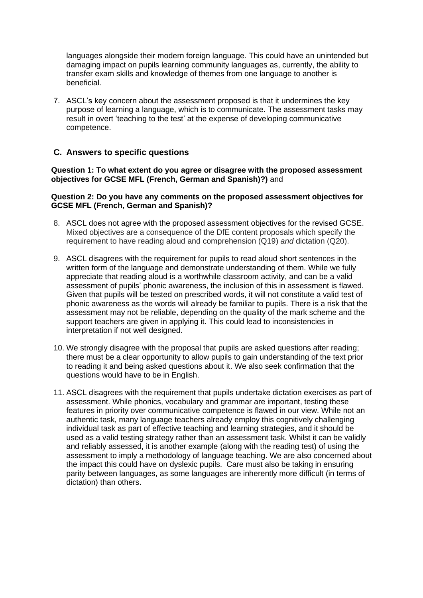languages alongside their modern foreign language. This could have an unintended but damaging impact on pupils learning community languages as, currently, the ability to transfer exam skills and knowledge of themes from one language to another is beneficial.

7. ASCL's key concern about the assessment proposed is that it undermines the key purpose of learning a language, which is to communicate. The assessment tasks may result in overt 'teaching to the test' at the expense of developing communicative competence.

### **C. Answers to specific questions**

#### **Question 1: To what extent do you agree or disagree with the proposed assessment objectives for GCSE MFL (French, German and Spanish)?)** and

#### **Question 2: Do you have any comments on the proposed assessment objectives for GCSE MFL (French, German and Spanish)?**

- 8. ASCL does not agree with the proposed assessment objectives for the revised GCSE. Mixed objectives are a consequence of the DfE content proposals which specify the requirement to have reading aloud and comprehension (Q19) *and* dictation (Q20).
- 9. ASCL disagrees with the requirement for pupils to read aloud short sentences in the written form of the language and demonstrate understanding of them. While we fully appreciate that reading aloud is a worthwhile classroom activity, and can be a valid assessment of pupils' phonic awareness, the inclusion of this in assessment is flawed. Given that pupils will be tested on prescribed words, it will not constitute a valid test of phonic awareness as the words will already be familiar to pupils. There is a risk that the assessment may not be reliable, depending on the quality of the mark scheme and the support teachers are given in applying it. This could lead to inconsistencies in interpretation if not well designed.
- 10. We strongly disagree with the proposal that pupils are asked questions after reading; there must be a clear opportunity to allow pupils to gain understanding of the text prior to reading it and being asked questions about it. We also seek confirmation that the questions would have to be in English.
- 11. ASCL disagrees with the requirement that pupils undertake dictation exercises as part of assessment. While phonics, vocabulary and grammar are important, testing these features in priority over communicative competence is flawed in our view. While not an authentic task, many language teachers already employ this cognitively challenging individual task as part of effective teaching and learning strategies, and it should be used as a valid testing strategy rather than an assessment task. Whilst it can be validly and reliably assessed, it is another example (along with the reading test) of using the assessment to imply a methodology of language teaching. We are also concerned about the impact this could have on dyslexic pupils. Care must also be taking in ensuring parity between languages, as some languages are inherently more difficult (in terms of dictation) than others.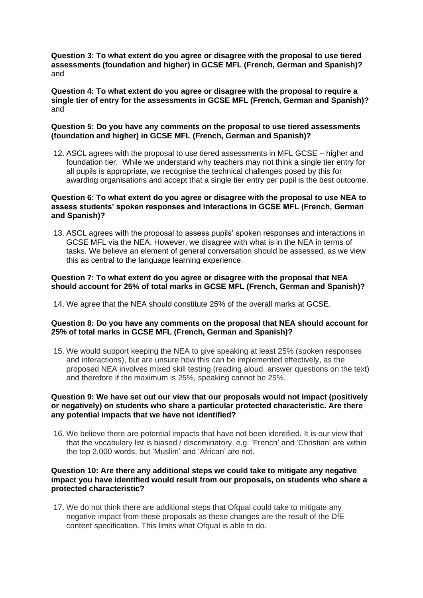**Question 3: To what extent do you agree or disagree with the proposal to use tiered assessments (foundation and higher) in GCSE MFL (French, German and Spanish)?** and

**Question 4: To what extent do you agree or disagree with the proposal to require a single tier of entry for the assessments in GCSE MFL (French, German and Spanish)?** and

#### **Question 5: Do you have any comments on the proposal to use tiered assessments (foundation and higher) in GCSE MFL (French, German and Spanish)?**

12. ASCL agrees with the proposal to use tiered assessments in MFL GCSE – higher and foundation tier. While we understand why teachers may not think a single tier entry for all pupils is appropriate, we recognise the technical challenges posed by this for awarding organisations and accept that a single tier entry per pupil is the best outcome.

#### **Question 6: To what extent do you agree or disagree with the proposal to use NEA to assess students' spoken responses and interactions in GCSE MFL (French, German and Spanish)?**

13. ASCL agrees with the proposal to assess pupils' spoken responses and interactions in GCSE MFL via the NEA. However, we disagree with what is in the NEA in terms of tasks. We believe an element of general conversation should be assessed, as we view this as central to the language learning experience.

#### **Question 7: To what extent do you agree or disagree with the proposal that NEA should account for 25% of total marks in GCSE MFL (French, German and Spanish)?**

14. We agree that the NEA should constitute 25% of the overall marks at GCSE.

#### **Question 8: Do you have any comments on the proposal that NEA should account for 25% of total marks in GCSE MFL (French, German and Spanish)?**

15. We would support keeping the NEA to give speaking at least 25% (spoken responses and interactions), but are unsure how this can be implemented effectively, as the proposed NEA involves mixed skill testing (reading aloud, answer questions on the text) and therefore if the maximum is 25%, speaking cannot be 25%.

#### **Question 9: We have set out our view that our proposals would not impact (positively or negatively) on students who share a particular protected characteristic. Are there any potential impacts that we have not identified?**

16. We believe there are potential impacts that have not been identified. It is our view that that the vocabulary list is biased / discriminatory, e.g. 'French' and 'Christian' are within the top 2,000 words, but 'Muslim' and 'African' are not.

#### **Question 10: Are there any additional steps we could take to mitigate any negative impact you have identified would result from our proposals, on students who share a protected characteristic?**

17. We do not think there are additional steps that Ofqual could take to mitigate any negative impact from these proposals as these changes are the result of the DfE content specification. This limits what Ofqual is able to do.